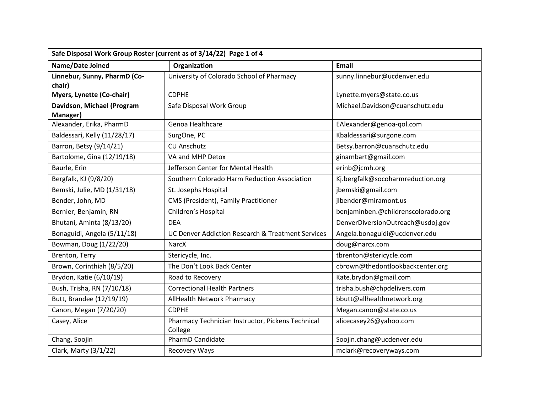| Safe Disposal Work Group Roster (current as of 3/14/22) Page 1 of 4 |                                                              |                                    |  |  |
|---------------------------------------------------------------------|--------------------------------------------------------------|------------------------------------|--|--|
| <b>Name/Date Joined</b>                                             | Organization                                                 | Email                              |  |  |
| Linnebur, Sunny, PharmD (Co-                                        | University of Colorado School of Pharmacy                    | sunny.linnebur@ucdenver.edu        |  |  |
| chair)                                                              |                                                              |                                    |  |  |
| Myers, Lynette (Co-chair)                                           | <b>CDPHE</b>                                                 | Lynette.myers@state.co.us          |  |  |
| Davidson, Michael (Program                                          | Safe Disposal Work Group                                     | Michael.Davidson@cuanschutz.edu    |  |  |
| Manager)                                                            |                                                              |                                    |  |  |
| Alexander, Erika, PharmD                                            | Genoa Healthcare                                             | EAlexander@genoa-qol.com           |  |  |
| Baldessari, Kelly (11/28/17)                                        | SurgOne, PC                                                  | Kbaldessari@surgone.com            |  |  |
| Barron, Betsy (9/14/21)                                             | <b>CU Anschutz</b>                                           | Betsy.barron@cuanschutz.edu        |  |  |
| Bartolome, Gina (12/19/18)                                          | VA and MHP Detox                                             | ginambart@gmail.com                |  |  |
| Baurle, Erin                                                        | Jefferson Center for Mental Health                           | erinb@jcmh.org                     |  |  |
| Bergfalk, KJ (9/8/20)                                               | Southern Colorado Harm Reduction Association                 | Kj.bergfalk@socoharmreduction.org  |  |  |
| Bemski, Julie, MD (1/31/18)                                         | St. Josephs Hospital                                         | jbemski@gmail.com                  |  |  |
| Bender, John, MD                                                    | CMS (President), Family Practitioner                         | jlbender@miramont.us               |  |  |
| Bernier, Benjamin, RN                                               | Children's Hospital                                          | benjaminben.@childrenscolorado.org |  |  |
| Bhutani, Aminta (8/13/20)                                           | <b>DEA</b>                                                   | DenverDiversionOutreach@usdoj.gov  |  |  |
| Bonaguidi, Angela (5/11/18)                                         | UC Denver Addiction Research & Treatment Services            | Angela.bonaguidi@ucdenver.edu      |  |  |
| Bowman, Doug (1/22/20)                                              | <b>NarcX</b>                                                 | doug@narcx.com                     |  |  |
| Brenton, Terry                                                      | Stericycle, Inc.                                             | tbrenton@stericycle.com            |  |  |
| Brown, Corinthiah (8/5/20)                                          | The Don't Look Back Center                                   | cbrown@thedontlookbackcenter.org   |  |  |
| Brydon, Katie (6/10/19)                                             | Road to Recovery                                             | Kate.brydon@gmail.com              |  |  |
| Bush, Trisha, RN (7/10/18)                                          | <b>Correctional Health Partners</b>                          | trisha.bush@chpdelivers.com        |  |  |
| Butt, Brandee (12/19/19)                                            | <b>AllHealth Network Pharmacy</b>                            | bbutt@allhealthnetwork.org         |  |  |
| Canon, Megan (7/20/20)                                              | <b>CDPHE</b>                                                 | Megan.canon@state.co.us            |  |  |
| Casey, Alice                                                        | Pharmacy Technician Instructor, Pickens Technical<br>College | alicecasey26@yahoo.com             |  |  |
| Chang, Soojin                                                       | <b>PharmD Candidate</b>                                      | Soojin.chang@ucdenver.edu          |  |  |
| Clark, Marty (3/1/22)                                               | Recovery Ways                                                | mclark@recoveryways.com            |  |  |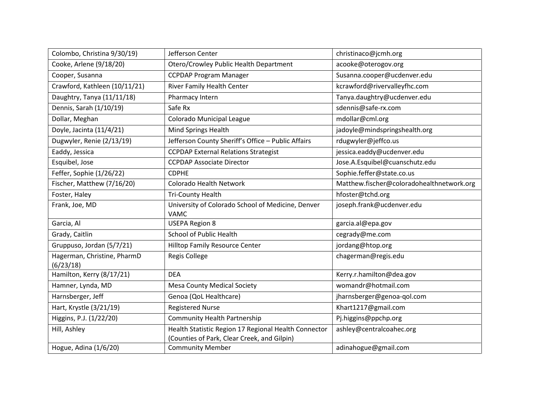| Colombo, Christina 9/30/19)              | Jefferson Center                                                                                    | christinaco@jcmh.org                      |
|------------------------------------------|-----------------------------------------------------------------------------------------------------|-------------------------------------------|
| Cooke, Arlene (9/18/20)                  | Otero/Crowley Public Health Department                                                              | acooke@oterogov.org                       |
| Cooper, Susanna                          | <b>CCPDAP Program Manager</b>                                                                       | Susanna.cooper@ucdenver.edu               |
| Crawford, Kathleen (10/11/21)            | River Family Health Center                                                                          | kcrawford@rivervalleyfhc.com              |
| Daughtry, Tanya (11/11/18)               | Pharmacy Intern                                                                                     | Tanya.daughtry@ucdenver.edu               |
| Dennis, Sarah (1/10/19)                  | Safe Rx                                                                                             | sdennis@safe-rx.com                       |
| Dollar, Meghan                           | Colorado Municipal League                                                                           | mdollar@cml.org                           |
| Doyle, Jacinta (11/4/21)                 | Mind Springs Health                                                                                 | jadoyle@mindspringshealth.org             |
| Dugwyler, Renie (2/13/19)                | Jefferson County Sheriff's Office - Public Affairs                                                  | rdugwyler@jeffco.us                       |
| Eaddy, Jessica                           | <b>CCPDAP External Relations Strategist</b>                                                         | jessica.eaddy@ucdenver.edu                |
| Esquibel, Jose                           | <b>CCPDAP Associate Director</b>                                                                    | Jose.A.Esquibel@cuanschutz.edu            |
| Feffer, Sophie (1/26/22)                 | <b>CDPHE</b>                                                                                        | Sophie.feffer@state.co.us                 |
| Fischer, Matthew (7/16/20)               | <b>Colorado Health Network</b>                                                                      | Matthew.fischer@coloradohealthnetwork.org |
| Foster, Haley                            | <b>Tri-County Health</b>                                                                            | hfoster@tchd.org                          |
| Frank, Joe, MD                           | University of Colorado School of Medicine, Denver<br><b>VAMC</b>                                    | joseph.frank@ucdenver.edu                 |
| Garcia, Al                               | <b>USEPA Region 8</b>                                                                               | garcia.al@epa.gov                         |
| Grady, Caitlin                           | <b>School of Public Health</b>                                                                      | cegrady@me.com                            |
| Gruppuso, Jordan (5/7/21)                | <b>Hilltop Family Resource Center</b>                                                               | jordang@htop.org                          |
| Hagerman, Christine, PharmD<br>(6/23/18) | <b>Regis College</b>                                                                                | chagerman@regis.edu                       |
| Hamilton, Kerry (8/17/21)                | <b>DEA</b>                                                                                          | Kerry.r.hamilton@dea.gov                  |
| Hamner, Lynda, MD                        | <b>Mesa County Medical Society</b>                                                                  | womandr@hotmail.com                       |
| Harnsberger, Jeff                        | Genoa (QoL Healthcare)                                                                              | jharnsberger@genoa-qol.com                |
| Hart, Krystle (3/21/19)                  | <b>Registered Nurse</b>                                                                             | Khart1217@gmail.com                       |
| Higgins, P.J. (1/22/20)                  | <b>Community Health Partnership</b>                                                                 | Pj.higgins@ppchp.org                      |
| Hill, Ashley                             | Health Statistic Region 17 Regional Health Connector<br>(Counties of Park, Clear Creek, and Gilpin) | ashley@centralcoahec.org                  |
| Hogue, Adina (1/6/20)                    | <b>Community Member</b>                                                                             | adinahogue@gmail.com                      |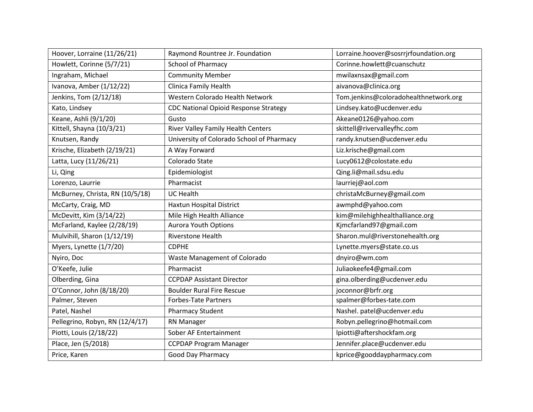| Hoover, Lorraine (11/26/21)     | Raymond Rountree Jr. Foundation              | Lorraine.hoover@sosrrjrfoundation.org |
|---------------------------------|----------------------------------------------|---------------------------------------|
| Howlett, Corinne (5/7/21)       | <b>School of Pharmacy</b>                    | Corinne.howlett@cuanschutz            |
| Ingraham, Michael               | <b>Community Member</b>                      | mwilaxnsax@gmail.com                  |
| Ivanova, Amber (1/12/22)        | Clinica Family Health                        | aivanova@clinica.org                  |
| Jenkins, Tom (2/12/18)          | Western Colorado Health Network              | Tom.jenkins@coloradohealthnetwork.org |
| Kato, Lindsey                   | <b>CDC National Opioid Response Strategy</b> | Lindsey.kato@ucdenver.edu             |
| Keane, Ashli (9/1/20)           | Gusto                                        | Akeane0126@yahoo.com                  |
| Kittell, Shayna (10/3/21)       | <b>River Valley Family Health Centers</b>    | skittell@rivervalleyfhc.com           |
| Knutsen, Randy                  | University of Colorado School of Pharmacy    | randy.knutsen@ucdenver.edu            |
| Krische, Elizabeth (2/19/21)    | A Way Forward                                | Liz.krische@gmail.com                 |
| Latta, Lucy (11/26/21)          | Colorado State                               | Lucy0612@colostate.edu                |
| Li, Qing                        | Epidemiologist                               | Qing.li@mail.sdsu.edu                 |
| Lorenzo, Laurrie                | Pharmacist                                   | laurriej@aol.com                      |
| McBurney, Christa, RN (10/5/18) | <b>UC Health</b>                             | christaMcBurney@gmail.com             |
| McCarty, Craig, MD              | Haxtun Hospital District                     | awmphd@yahoo.com                      |
| McDevitt, Kim (3/14/22)         | Mile High Health Alliance                    | kim@milehighhealthalliance.org        |
| McFarland, Kaylee (2/28/19)     | <b>Aurora Youth Options</b>                  | Kjmcfarland97@gmail.com               |
| Mulvihill, Sharon (1/12/19)     | Riverstone Health                            | Sharon.mul@riverstonehealth.org       |
| Myers, Lynette (1/7/20)         | <b>CDPHE</b>                                 | Lynette.myers@state.co.us             |
| Nyiro, Doc                      | Waste Management of Colorado                 | dnyiro@wm.com                         |
| O'Keefe, Julie                  | Pharmacist                                   | Juliaokeefe4@gmail.com                |
| Olberding, Gina                 | <b>CCPDAP Assistant Director</b>             | gina.olberding@ucdenver.edu           |
| O'Connor, John (8/18/20)        | <b>Boulder Rural Fire Rescue</b>             | joconnor@brfr.org                     |
| Palmer, Steven                  | <b>Forbes-Tate Partners</b>                  | spalmer@forbes-tate.com               |
| Patel, Nashel                   | <b>Pharmacy Student</b>                      | Nashel. patel@ucdenver.edu            |
| Pellegrino, Robyn, RN (12/4/17) | <b>RN Manager</b>                            | Robyn.pellegrino@hotmail.com          |
| Piotti, Louis (2/18/22)         | Sober AF Entertainment                       | lpiotti@aftershockfam.org             |
| Place, Jen (5/2018)             | <b>CCPDAP Program Manager</b>                | Jennifer.place@ucdenver.edu           |
| Price, Karen                    | Good Day Pharmacy                            | kprice@gooddaypharmacy.com            |